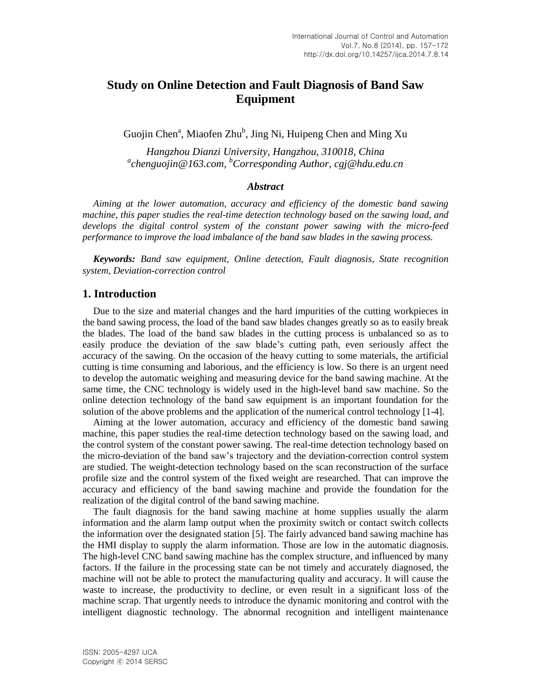# **Study on Online Detection and Fault Diagnosis of Band Saw Equipment**

Guojin Chen<sup>a</sup>, Miaofen Zhu<sup>b</sup>, Jing Ni, Huipeng Chen and Ming Xu

*Hangzhou Dianzi University, Hangzhou, 310018, China a chenguojin@163.com, <sup>b</sup>Corresponding Author, cgj@hdu.edu.cn*

#### *Abstract*

*Aiming at the lower automation, accuracy and efficiency of the domestic band sawing machine, this paper studies the real-time detection technology based on the sawing load, and develops the digital control system of the constant power sawing with the micro-feed performance to improve the load imbalance of the band saw blades in the sawing process.*

*Keywords: Band saw equipment, Online detection, Fault diagnosis, State recognition system, Deviation-correction control*

#### **1. Introduction**

Due to the size and material changes and the hard impurities of the cutting workpieces in the band sawing process, the load of the band saw blades changes greatly so as to easily break the blades. The load of the band saw blades in the cutting process is unbalanced so as to easily produce the deviation of the saw blade's cutting path, even seriously affect the accuracy of the sawing. On the occasion of the heavy cutting to some materials, the artificial cutting is time consuming and laborious, and the efficiency is low. So there is an urgent need to develop the automatic weighing and measuring device for the band sawing machine. At the same time, the CNC technology is widely used in the high-level band saw machine. So the online detection technology of the band saw equipment is an important foundation for the solution of the above problems and the application of the numerical control technology [1-4].

Aiming at the lower automation, accuracy and efficiency of the domestic band sawing machine, this paper studies the real-time detection technology based on the sawing load, and the control system of the constant power sawing. The real-time detection technology based on the micro-deviation of the band saw's trajectory and the deviation-correction control system are studied. The weight-detection technology based on the scan reconstruction of the surface profile size and the control system of the fixed weight are researched. That can improve the accuracy and efficiency of the band sawing machine and provide the foundation for the realization of the digital control of the band sawing machine.

The fault diagnosis for the band sawing machine at home supplies usually the alarm information and the alarm lamp output when the proximity switch or contact switch collects the information over the designated station [5]. The fairly advanced band sawing machine has the HMI display to supply the alarm information. Those are low in the automatic diagnosis. The high-level CNC band sawing machine has the complex structure, and influenced by many factors. If the failure in the processing state can be not timely and accurately diagnosed, the machine will not be able to protect the manufacturing quality and accuracy. It will cause the waste to increase, the productivity to decline, or even result in a significant loss of the machine scrap. That urgently needs to introduce the dynamic monitoring and control with the intelligent diagnostic technology. The abnormal recognition and intelligent maintenance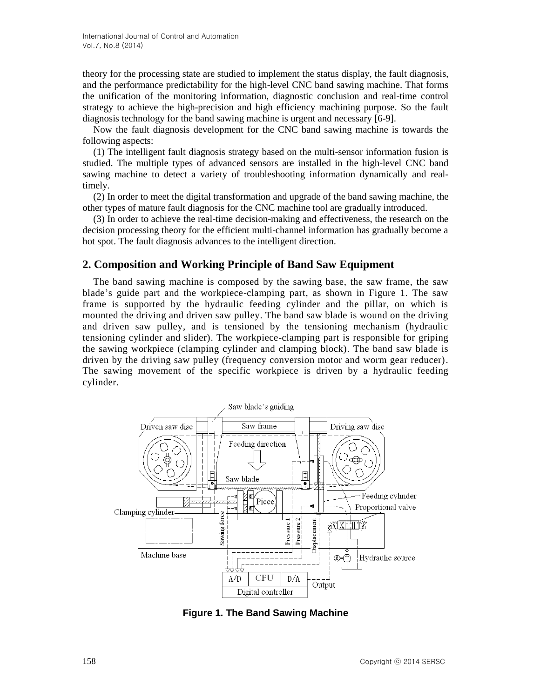theory for the processing state are studied to implement the status display, the fault diagnosis, and the performance predictability for the high-level CNC band sawing machine. That forms the unification of the monitoring information, diagnostic conclusion and real-time control strategy to achieve the high-precision and high efficiency machining purpose. So the fault diagnosis technology for the band sawing machine is urgent and necessary [6-9].

Now the fault diagnosis development for the CNC band sawing machine is towards the following aspects:

(1) The intelligent fault diagnosis strategy based on the multi-sensor information fusion is studied. The multiple types of advanced sensors are installed in the high-level CNC band sawing machine to detect a variety of troubleshooting information dynamically and realtimely.

(2) In order to meet the digital transformation and upgrade of the band sawing machine, the other types of mature fault diagnosis for the CNC machine tool are gradually introduced.

(3) In order to achieve the real-time decision-making and effectiveness, the research on the decision processing theory for the efficient multi-channel information has gradually become a hot spot. The fault diagnosis advances to the intelligent direction.

### **2. Composition and Working Principle of Band Saw Equipment**

The band sawing machine is composed by the sawing base, the saw frame, the saw blade's guide part and the workpiece-clamping part, as shown in Figure 1. The saw frame is supported by the hydraulic feeding cylinder and the pillar, on which is mounted the driving and driven saw pulley. The band saw blade is wound on the driving and driven saw pulley, and is tensioned by the tensioning mechanism (hydraulic tensioning cylinder and slider). The workpiece-clamping part is responsible for griping the sawing workpiece (clamping cylinder and clamping block). The band saw blade is driven by the driving saw pulley (frequency conversion motor and worm gear reducer). The sawing movement of the specific workpiece is driven by a hydraulic feeding cylinder.



**Figure 1. The Band Sawing Machine**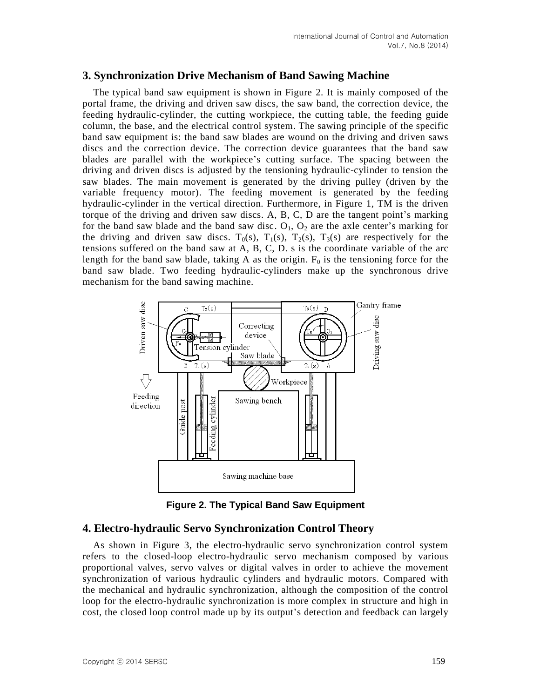## **3. Synchronization Drive Mechanism of Band Sawing Machine**

The typical band saw equipment is shown in Figure 2. It is mainly composed of the portal frame, the driving and driven saw discs, the saw band, the correction device, the feeding hydraulic-cylinder, the cutting workpiece, the cutting table, the feeding guide column, the base, and the electrical control system. The sawing principle of the specific band saw equipment is: the band saw blades are wound on the driving and driven saws discs and the correction device. The correction device guarantees that the band saw blades are parallel with the workpiece's cutting surface. The spacing between the driving and driven discs is adjusted by the tensioning hydraulic-cylinder to tension the saw blades. The main movement is generated by the driving pulley (driven by the variable frequency motor). The feeding movement is generated by the feeding hydraulic-cylinder in the vertical direction. Furthermore, in Figure 1, TM is the driven torque of the driving and driven saw discs. A, B, C, D are the tangent point's marking for the band saw blade and the band saw disc.  $O_1$ ,  $O_2$  are the axle center's marking for the driving and driven saw discs.  $T_0(s)$ ,  $T_1(s)$ ,  $T_2(s)$ ,  $T_3(s)$  are respectively for the tensions suffered on the band saw at A, B, C, D. s is the coordinate variable of the arc length for the band saw blade, taking A as the origin.  $F_0$  is the tensioning force for the band saw blade. Two feeding hydraulic-cylinders make up the synchronous drive mechanism for the band sawing machine.



**Figure 2. The Typical Band Saw Equipment**

## **4. Electro-hydraulic Servo Synchronization Control Theory**

As shown in Figure 3, the electro-hydraulic servo synchronization control system refers to the closed-loop electro-hydraulic servo mechanism composed by various proportional valves, servo valves or digital valves in order to achieve the movement synchronization of various hydraulic cylinders and hydraulic motors. Compared with the mechanical and hydraulic synchronization, although the composition of the control loop for the electro-hydraulic synchronization is more complex in structure and high in cost, the closed loop control made up by its output's detection and feedback can largely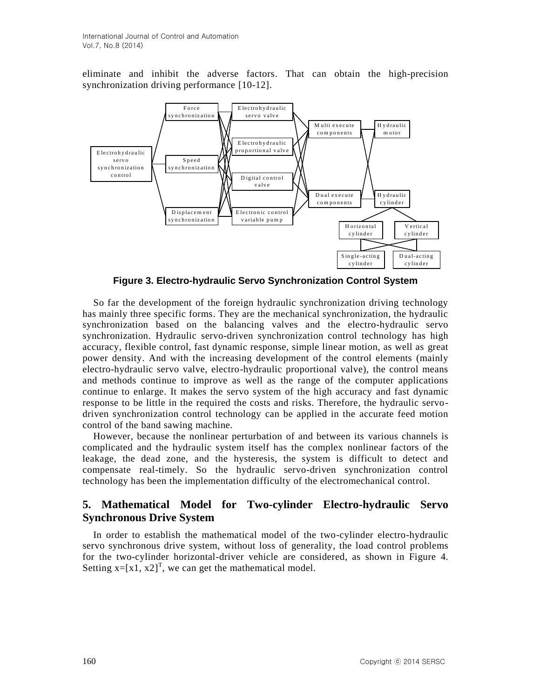eliminate and inhibit the adverse factors. That can obtain the high-precision



**Figure 3. Electro-hydraulic Servo Synchronization Control System**

So far the development of the foreign hydraulic synchronization driving technology has mainly three specific forms. They are the mechanical synchronization, the hydraulic synchronization based on the balancing valves and the electro-hydraulic servo synchronization. Hydraulic servo-driven synchronization control technology has high accuracy, flexible control, fast dynamic response, simple linear motion, as well as great power density. And with the increasing development of the control elements (mainly electro-hydraulic servo valve, electro-hydraulic proportional valve), the control means and methods continue to improve as well as the range of the computer applications continue to enlarge. It makes the servo system of the high accuracy and fast dynamic response to be little in the required the costs and risks. Therefore, the hydraulic servodriven synchronization control technology can be applied in the accurate feed motion control of the band sawing machine.

However, because the nonlinear perturbation of and between its various channels is complicated and the hydraulic system itself has the complex nonlinear factors of the leakage, the dead zone, and the hysteresis, the system is difficult to detect and compensate real-timely. So the hydraulic servo-driven synchronization control technology has been the implementation difficulty of the electromechanical control.

# **5. Mathematical Model for Two-cylinder Electro-hydraulic Servo Synchronous Drive System**

In order to establish the mathematical model of the two-cylinder electro-hydraulic servo synchronous drive system, without loss of generality, the load control problems for the two-cylinder horizontal-driver vehicle are considered, as shown in Figure 4. Setting  $x=[x1, x2]^T$ , we can get the mathematical model.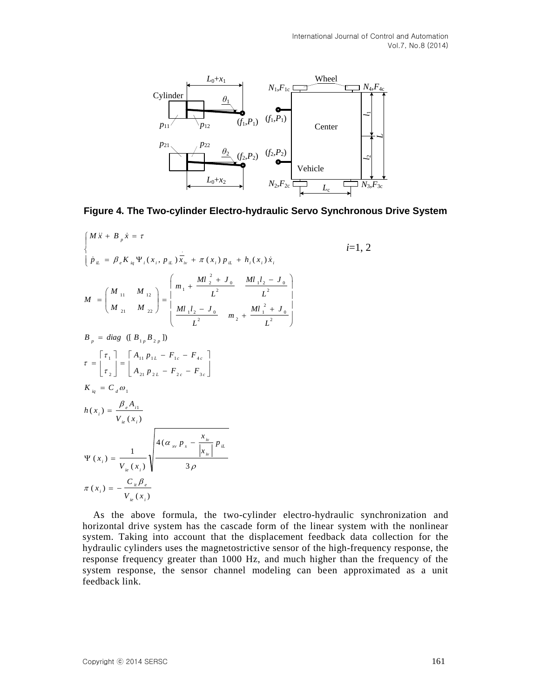



$$
\begin{cases}\nM\ddot{x} + B_{p}\dot{x} = \tau & i=1, 2 \\
\dot{p}_{u} = \beta_{e}K_{u_{q}}\Psi_{i}(x_{i}, p_{u})\dot{x}_{v} + \pi(x_{i})p_{u} + h_{i}(x_{i})\dot{x}_{i} \\
M = \begin{pmatrix}\nM_{11} & M_{12} \\
M_{21} & M_{22}\n\end{pmatrix} = \begin{pmatrix}\nm_{1} + \frac{Ml_{2}^{2} + J_{0}}{L^{2}} & \frac{Ml_{1}l_{2} - J_{0}}{L^{2}} \\
\frac{Ml_{1}l_{2} - J_{0}}{L^{2}} & m_{2} + \frac{Ml_{1}^{2} + J_{0}}{L^{2}}\n\end{pmatrix} \\
B_{p} = diag \left(\begin{pmatrix}B_{1p}B_{2p}\end{pmatrix}\right) \\
\tau = \begin{bmatrix}\n\tau_{1} \\
\tau_{2}\n\end{bmatrix} = \begin{bmatrix}\nA_{11}p_{1L} - F_{1e} - F_{4e} \\
A_{21}p_{2L} - F_{2e} - F_{3e}\n\end{bmatrix} \\
K_{iq} = C_{d}\omega_{1} \\
h(x_{i}) = \frac{\beta_{e}A_{i1}}{V_{ie}(x_{i})} \\
\Psi(x_{i}) = -\frac{1}{V_{ie}(x_{i})}\n\end{cases} \\
\Phi_{i} = \frac{C_{u}\beta_{e}}{V_{ie}(x_{i})} \\
\pi(x_{i}) = -\frac{C_{u}\beta_{e}}{V_{ie}(x_{i})}
$$

As the above formula, the two-cylinder electro-hydraulic synchronization and horizontal drive system has the cascade form of the linear system with the nonlinear system. Taking into account that the displacement feedback data collection for the hydraulic cylinders uses the magnetostrictive sensor of the high-frequency response, the response frequency greater than 1000 Hz, and much higher than the frequency of the system response, the sensor channel modeling can been approximated as a unit feedback link.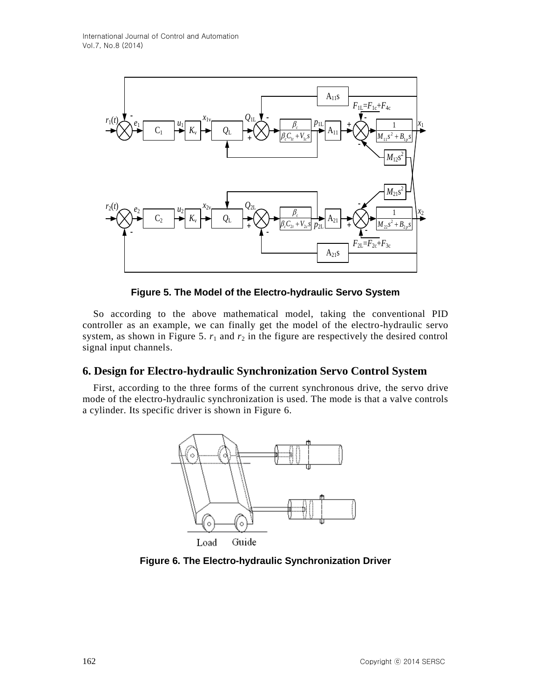

**Figure 5. The Model of the Electro-hydraulic Servo System**

So according to the above mathematical model, taking the conventional PID controller as an example, we can finally get the model of the electro-hydraulic servo system, as shown in Figure 5.  $r_1$  and  $r_2$  in the figure are respectively the desired control signal input channels.

## **6. Design for Electro-hydraulic Synchronization Servo Control System**

First, according to the three forms of the current synchronous drive, the servo drive mode of the electro-hydraulic synchronization is used. The mode is that a valve controls a cylinder. Its specific driver is shown in Figure 6.



**Figure 6. The Electro-hydraulic Synchronization Driver**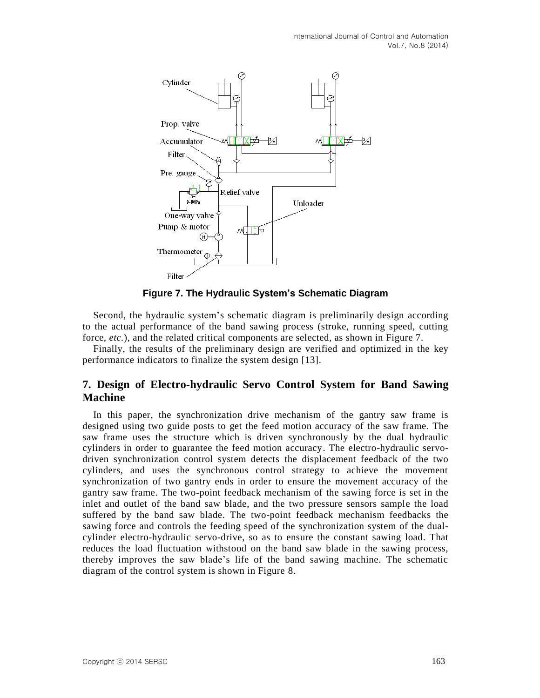

**Figure 7. The Hydraulic System's Schematic Diagram**

Second, the hydraulic system's schematic diagram is preliminarily design according to the actual performance of the band sawing process (stroke, running speed, cutting force, *etc.*), and the related critical components are selected, as shown in Figure 7.

Finally, the results of the preliminary design are verified and optimized in the key performance indicators to finalize the system design [13].

## **7. Design of Electro-hydraulic Servo Control System for Band Sawing Machine**

In this paper, the synchronization drive mechanism of the gantry saw frame is designed using two guide posts to get the feed motion accuracy of the saw frame. The saw frame uses the structure which is driven synchronously by the dual hydraulic cylinders in order to guarantee the feed motion accuracy. The electro-hydraulic servodriven synchronization control system detects the displacement feedback of the two cylinders, and uses the synchronous control strategy to achieve the movement synchronization of two gantry ends in order to ensure the movement accuracy of the gantry saw frame. The two-point feedback mechanism of the sawing force is set in the inlet and outlet of the band saw blade, and the two pressure sensors sample the load suffered by the band saw blade. The two-point feedback mechanism feedbacks the sawing force and controls the feeding speed of the synchronization system of the dualcylinder electro-hydraulic servo-drive, so as to ensure the constant sawing load. That reduces the load fluctuation withstood on the band saw blade in the sawing process, thereby improves the saw blade's life of the band sawing machine. The schematic diagram of the control system is shown in Figure 8.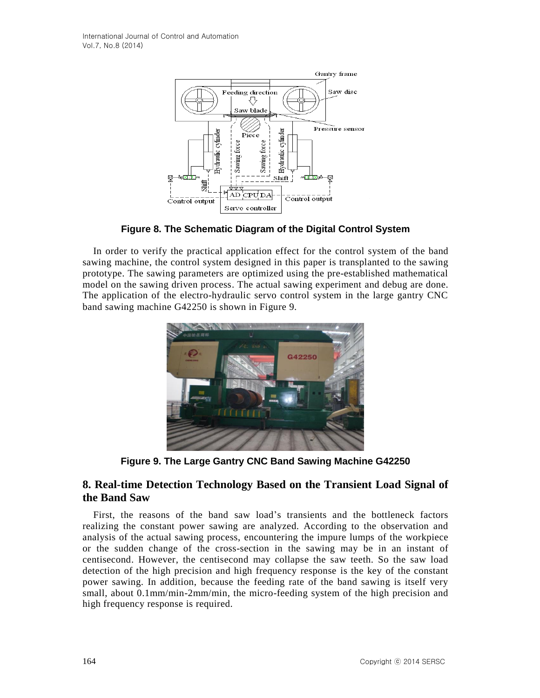

**Figure 8. The Schematic Diagram of the Digital Control System**

In order to verify the practical application effect for the control system of the band sawing machine, the control system designed in this paper is transplanted to the sawing prototype. The sawing parameters are optimized using the pre-established mathematical model on the sawing driven process. The actual sawing experiment and debug are done. The application of the electro-hydraulic servo control system in the large gantry CNC band sawing machine G42250 is shown in Figure 9.



**Figure 9. The Large Gantry CNC Band Sawing Machine G42250**

# **8. Real-time Detection Technology Based on the Transient Load Signal of the Band Saw**

First, the reasons of the band saw load's transients and the bottleneck factors realizing the constant power sawing are analyzed. According to the observation and analysis of the actual sawing process, encountering the impure lumps of the workpiece or the sudden change of the cross-section in the sawing may be in an instant of centisecond. However, the centisecond may collapse the saw teeth. So the saw load detection of the high precision and high frequency response is the key of the constant power sawing. In addition, because the feeding rate of the band sawing is itself very small, about 0.1mm/min-2mm/min, the micro-feeding system of the high precision and high frequency response is required.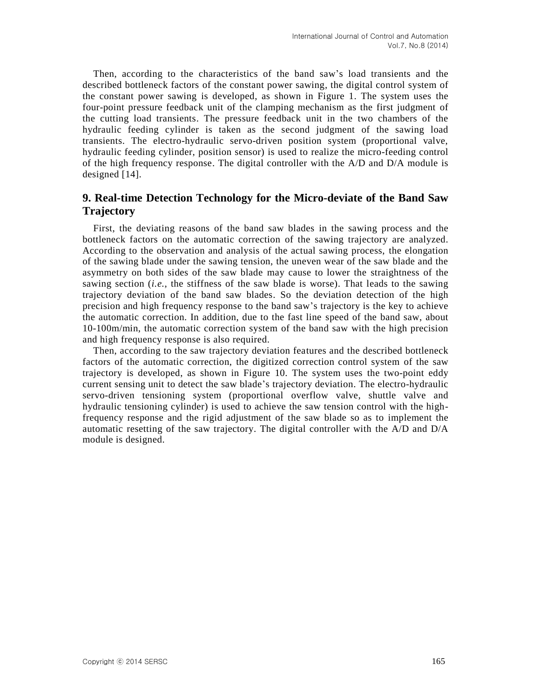Then, according to the characteristics of the band saw's load transients and the described bottleneck factors of the constant power sawing, the digital control system of the constant power sawing is developed, as shown in Figure 1. The system uses the four-point pressure feedback unit of the clamping mechanism as the first judgment of the cutting load transients. The pressure feedback unit in the two chambers of the hydraulic feeding cylinder is taken as the second judgment of the sawing load transients. The electro-hydraulic servo-driven position system (proportional valve, hydraulic feeding cylinder, position sensor) is used to realize the micro-feeding control of the high frequency response. The digital controller with the A/D and D/A module is designed [14].

## **9. Real-time Detection Technology for the Micro-deviate of the Band Saw Trajectory**

First, the deviating reasons of the band saw blades in the sawing process and the bottleneck factors on the automatic correction of the sawing trajectory are analyzed. According to the observation and analysis of the actual sawing process, the elongation of the sawing blade under the sawing tension, the uneven wear of the saw blade and the asymmetry on both sides of the saw blade may cause to lower the straightness of the sawing section (*i.e.*, the stiffness of the saw blade is worse). That leads to the sawing trajectory deviation of the band saw blades. So the deviation detection of the high precision and high frequency response to the band saw's trajectory is the key to achieve the automatic correction. In addition, due to the fast line speed of the band saw, about 10-100m/min, the automatic correction system of the band saw with the high precision and high frequency response is also required.

Then, according to the saw trajectory deviation features and the described bottleneck factors of the automatic correction, the digitized correction control system of the saw trajectory is developed, as shown in Figure 10. The system uses the two-point eddy current sensing unit to detect the saw blade's trajectory deviation. The electro-hydraulic servo-driven tensioning system (proportional overflow valve, shuttle valve and hydraulic tensioning cylinder) is used to achieve the saw tension control with the highfrequency response and the rigid adjustment of the saw blade so as to implement the automatic resetting of the saw trajectory. The digital controller with the A/D and D/A module is designed.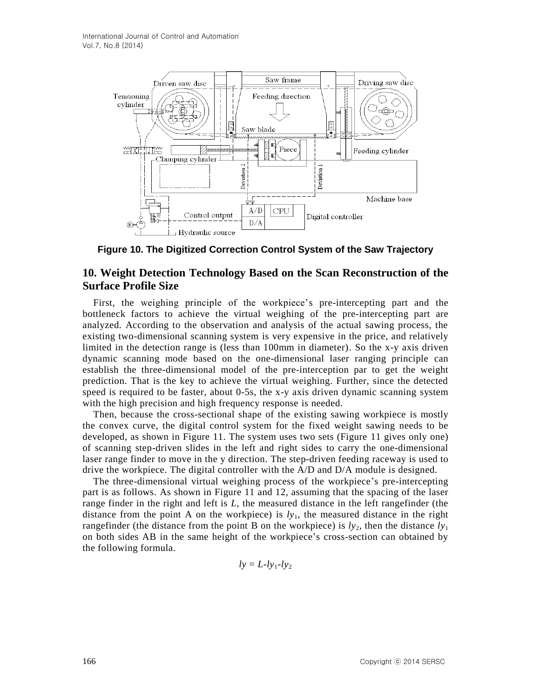

**Figure 10. The Digitized Correction Control System of the Saw Trajectory**

## **10. Weight Detection Technology Based on the Scan Reconstruction of the Surface Profile Size**

First, the weighing principle of the workpiece's pre-intercepting part and the bottleneck factors to achieve the virtual weighing of the pre-intercepting part are analyzed. According to the observation and analysis of the actual sawing process, the existing two-dimensional scanning system is very expensive in the price, and relatively limited in the detection range is (less than 100mm in diameter). So the x-y axis driven dynamic scanning mode based on the one-dimensional laser ranging principle can establish the three-dimensional model of the pre-interception par to get the weight prediction. That is the key to achieve the virtual weighing. Further, since the detected speed is required to be faster, about 0-5s, the x-y axis driven dynamic scanning system with the high precision and high frequency response is needed.

Then, because the cross-sectional shape of the existing sawing workpiece is mostly the convex curve, the digital control system for the fixed weight sawing needs to be developed, as shown in Figure 11. The system uses two sets (Figure 11 gives only one) of scanning step-driven slides in the left and right sides to carry the one-dimensional laser range finder to move in the y direction. The step-driven feeding raceway is used to drive the workpiece. The digital controller with the A/D and D/A module is designed.

The three-dimensional virtual weighing process of the workpiece's pre-intercepting part is as follows. As shown in Figure 11 and 12, assuming that the spacing of the laser range finder in the right and left is *L*, the measured distance in the left rangefinder (the distance from the point A on the workpiece) is  $l_{y_1}$ , the measured distance in the right rangefinder (the distance from the point B on the workpiece) is  $l_{y_2}$ , then the distance  $l_{y_1}$ on both sides AB in the same height of the workpiece's cross-section can obtained by the following formula.

$$
ly = L - ly_1 - ly_2
$$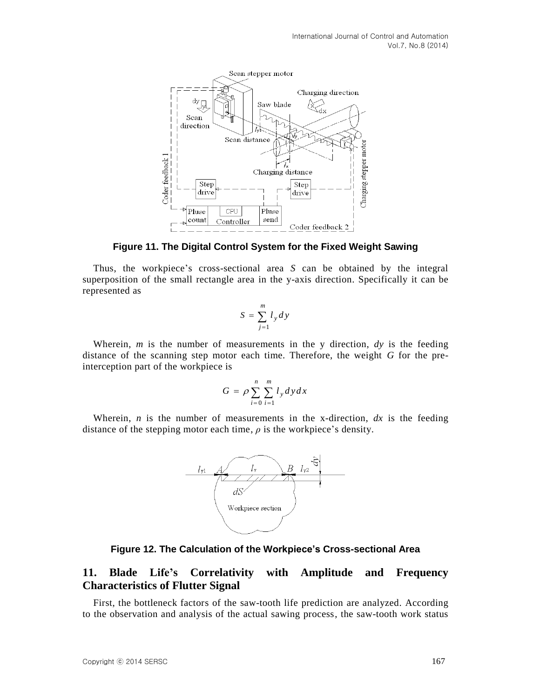

**Figure 11. The Digital Control System for the Fixed Weight Sawing**

Thus, the workpiece's cross-sectional area *S* can be obtained by the integral superposition of the small rectangle area in the y-axis direction. Specifically it can be represented as

$$
S = \sum_{j=1}^{m} l_{y} dy
$$

Wherein, *m* is the number of measurements in the y direction, *dy* is the feeding distance of the scanning step motor each time. Therefore, the weight *G* for the preinterception part of the workpiece is

$$
G = \rho \sum_{i=0}^{n} \sum_{i=1}^{m} l_y dy dx
$$

Wherein,  $n$  is the number of measurements in the x-direction,  $dx$  is the feeding distance of the stepping motor each time,  $\rho$  is the workpiece's density.



**Figure 12. The Calculation of the Workpiece's Cross-sectional Area**

## **11. Blade Life's Correlativity with Amplitude and Frequency Characteristics of Flutter Signal**

First, the bottleneck factors of the saw-tooth life prediction are analyzed. According to the observation and analysis of the actual sawing process, the saw-tooth work status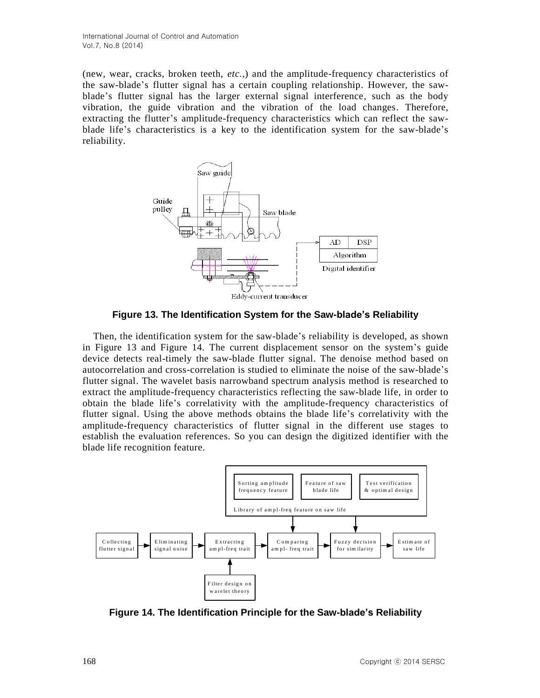(new, wear, cracks, broken teeth, *etc.*,) and the amplitude-frequency characteristics of the saw-blade's flutter signal has a certain coupling relationship. However, the sawblade's flutter signal has the larger external signal interference, such as the body vibration, the guide vibration and the vibration of the load changes. Therefore, extracting the flutter's amplitude-frequency characteristics which can reflect the sawblade life's characteristics is a key to the identification system for the saw-blade's reliability.



**Figure 13. The Identification System for the Saw-blade's Reliability**

Then, the identification system for the saw-blade's reliability is developed, as shown in Figure 13 and Figure 14. The current displacement sensor on the system's guide device detects real-timely the saw-blade flutter signal. The denoise method based on autocorrelation and cross-correlation is studied to eliminate the noise of the saw-blade's flutter signal. The wavelet basis narrowband spectrum analysis method is researched to extract the amplitude-frequency characteristics reflecting the saw-blade life, in order to obtain the blade life's correlativity with the amplitude-frequency characteristics of flutter signal. Using the above methods obtains the blade life's correlativity with the amplitude-frequency characteristics of flutter signal in the different use stages to establish the evaluation references. So you can design the digitized identifier with the blade life recognition feature.



**Figure 14. The Identification Principle for the Saw-blade's Reliability**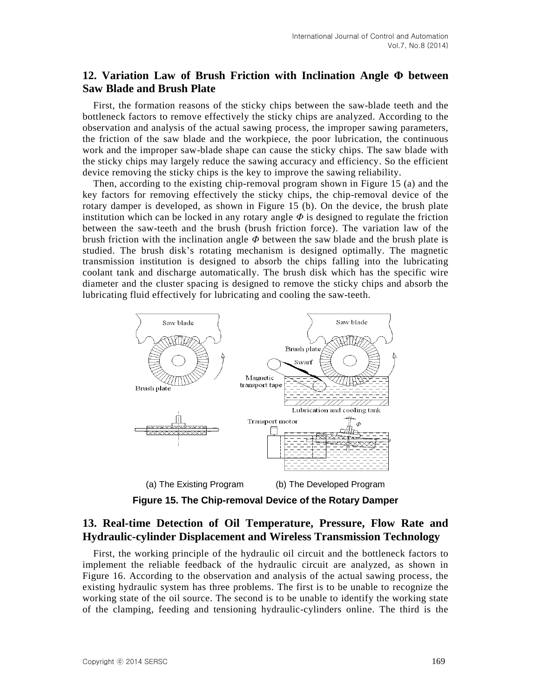## **12. Variation Law of Brush Friction with Inclination Angle Φ between Saw Blade and Brush Plate**

First, the formation reasons of the sticky chips between the saw-blade teeth and the bottleneck factors to remove effectively the sticky chips are analyzed. According to the observation and analysis of the actual sawing process, the improper sawing parameters, the friction of the saw blade and the workpiece, the poor lubrication, the continuous work and the improper saw-blade shape can cause the sticky chips. The saw blade with the sticky chips may largely reduce the sawing accuracy and efficiency. So the efficient device removing the sticky chips is the key to improve the sawing reliability.

Then, according to the existing chip-removal program shown in Figure 15 (a) and the key factors for removing effectively the sticky chips, the chip-removal device of the rotary damper is developed, as shown in Figure 15 (b). On the device, the brush plate institution which can be locked in any rotary angle  $\Phi$  is designed to regulate the friction between the saw-teeth and the brush (brush friction force). The variation law of the brush friction with the inclination angle *Φ* between the saw blade and the brush plate is studied. The brush disk's rotating mechanism is designed optimally. The magnetic transmission institution is designed to absorb the chips falling into the lubricating coolant tank and discharge automatically. The brush disk which has the specific wire diameter and the cluster spacing is designed to remove the sticky chips and absorb the lubricating fluid effectively for lubricating and cooling the saw-teeth.



**Figure 15. The Chip-removal Device of the Rotary Damper**

## **13. Real-time Detection of Oil Temperature, Pressure, Flow Rate and Hydraulic-cylinder Displacement and Wireless Transmission Technology**

First, the working principle of the hydraulic oil circuit and the bottleneck factors to implement the reliable feedback of the hydraulic circuit are analyzed, as shown in Figure 16. According to the observation and analysis of the actual sawing process, the existing hydraulic system has three problems. The first is to be unable to recognize the working state of the oil source. The second is to be unable to identify the working state of the clamping, feeding and tensioning hydraulic-cylinders online. The third is the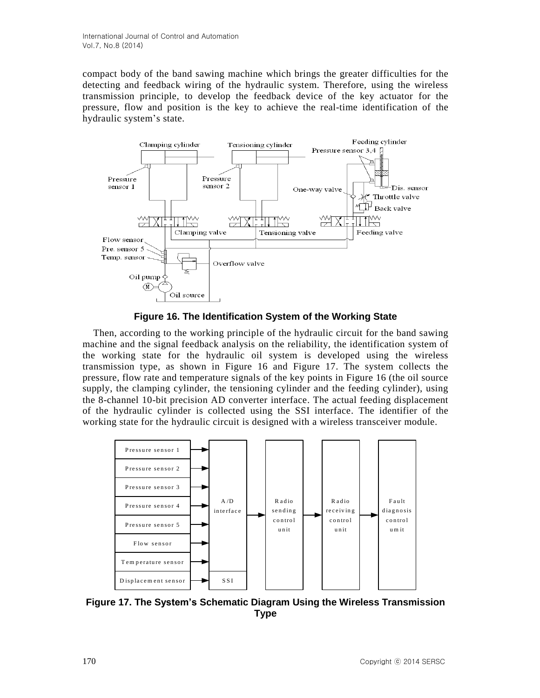compact body of the band sawing machine which brings the greater difficulties for the detecting and feedback wiring of the hydraulic system. Therefore, using the wireless transmission principle, to develop the feedback device of the key actuator for the pressure, flow and position is the key to achieve the real-time identification of the hydraulic system's state.



**Figure 16. The Identification System of the Working State**

Then, according to the working principle of the hydraulic circuit for the band sawing machine and the signal feedback analysis on the reliability, the identification system of the working state for the hydraulic oil system is developed using the wireless transmission type, as shown in Figure 16 and Figure 17. The system collects the pressure, flow rate and temperature signals of the key points in Figure 16 (the oil source supply, the clamping cylinder, the tensioning cylinder and the feeding cylinder), using the 8-channel 10-bit precision AD converter interface. The actual feeding displacement of the hydraulic cylinder is collected using the SSI interface. The identifier of the working state for the hydraulic circuit is designed with a wireless transceiver module.



**Figure 17. The System's Schematic Diagram Using the Wireless Transmission Type**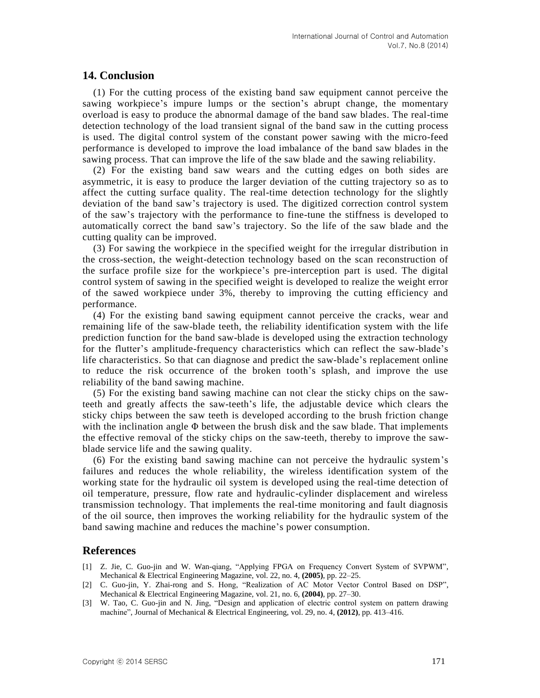### **14. Conclusion**

(1) For the cutting process of the existing band saw equipment cannot perceive the sawing workpiece's impure lumps or the section's abrupt change, the momentary overload is easy to produce the abnormal damage of the band saw blades. The real-time detection technology of the load transient signal of the band saw in the cutting process is used. The digital control system of the constant power sawing with the micro-feed performance is developed to improve the load imbalance of the band saw blades in the sawing process. That can improve the life of the saw blade and the sawing reliability.

(2) For the existing band saw wears and the cutting edges on both sides are asymmetric, it is easy to produce the larger deviation of the cutting trajectory so as to affect the cutting surface quality. The real-time detection technology for the slightly deviation of the band saw's trajectory is used. The digitized correction control system of the saw's trajectory with the performance to fine-tune the stiffness is developed to automatically correct the band saw's trajectory. So the life of the saw blade and the cutting quality can be improved.

(3) For sawing the workpiece in the specified weight for the irregular distribution in the cross-section, the weight-detection technology based on the scan reconstruction of the surface profile size for the workpiece's pre-interception part is used. The digital control system of sawing in the specified weight is developed to realize the weight error of the sawed workpiece under 3%, thereby to improving the cutting efficiency and performance.

(4) For the existing band sawing equipment cannot perceive the cracks, wear and remaining life of the saw-blade teeth, the reliability identification system with the life prediction function for the band saw-blade is developed using the extraction technology for the flutter's amplitude-frequency characteristics which can reflect the saw-blade's life characteristics. So that can diagnose and predict the saw-blade's replacement online to reduce the risk occurrence of the broken tooth's splash, and improve the use reliability of the band sawing machine.

(5) For the existing band sawing machine can not clear the sticky chips on the sawteeth and greatly affects the saw-teeth's life, the adjustable device which clears the sticky chips between the saw teeth is developed according to the brush friction change with the inclination angle Φ between the brush disk and the saw blade. That implements the effective removal of the sticky chips on the saw-teeth, thereby to improve the sawblade service life and the sawing quality.

(6) For the existing band sawing machine can not perceive the hydraulic system's failures and reduces the whole reliability, the wireless identification system of the working state for the hydraulic oil system is developed using the real-time detection of oil temperature, pressure, flow rate and hydraulic-cylinder displacement and wireless transmission technology. That implements the real-time monitoring and fault diagnosis of the oil source, then improves the working reliability for the hydraulic system of the band sawing machine and reduces the machine's power consumption.

### **References**

- [1] Z. Jie, C. Guo-jin and W. Wan-qiang, "Applying FPGA on Frequency Convert System of SVPWM", Mechanical & Electrical Engineering Magazine, vol. 22, no. 4, **(2005)**, pp. 22–25.
- [2] C. Guo-jin, Y. Zhai-rong and S. Hong, "Realization of AC Motor Vector Control Based on DSP", Mechanical & Electrical Engineering Magazine, vol. 21, no. 6, **(2004)**, pp. 27–30.
- [3] W. Tao, C. Guo-jin and N. Jing, "Design and application of electric control system on pattern drawing machine", Journal of Mechanical & Electrical Engineering, vol. 29, no. 4, **(2012)**, pp. 413–416.